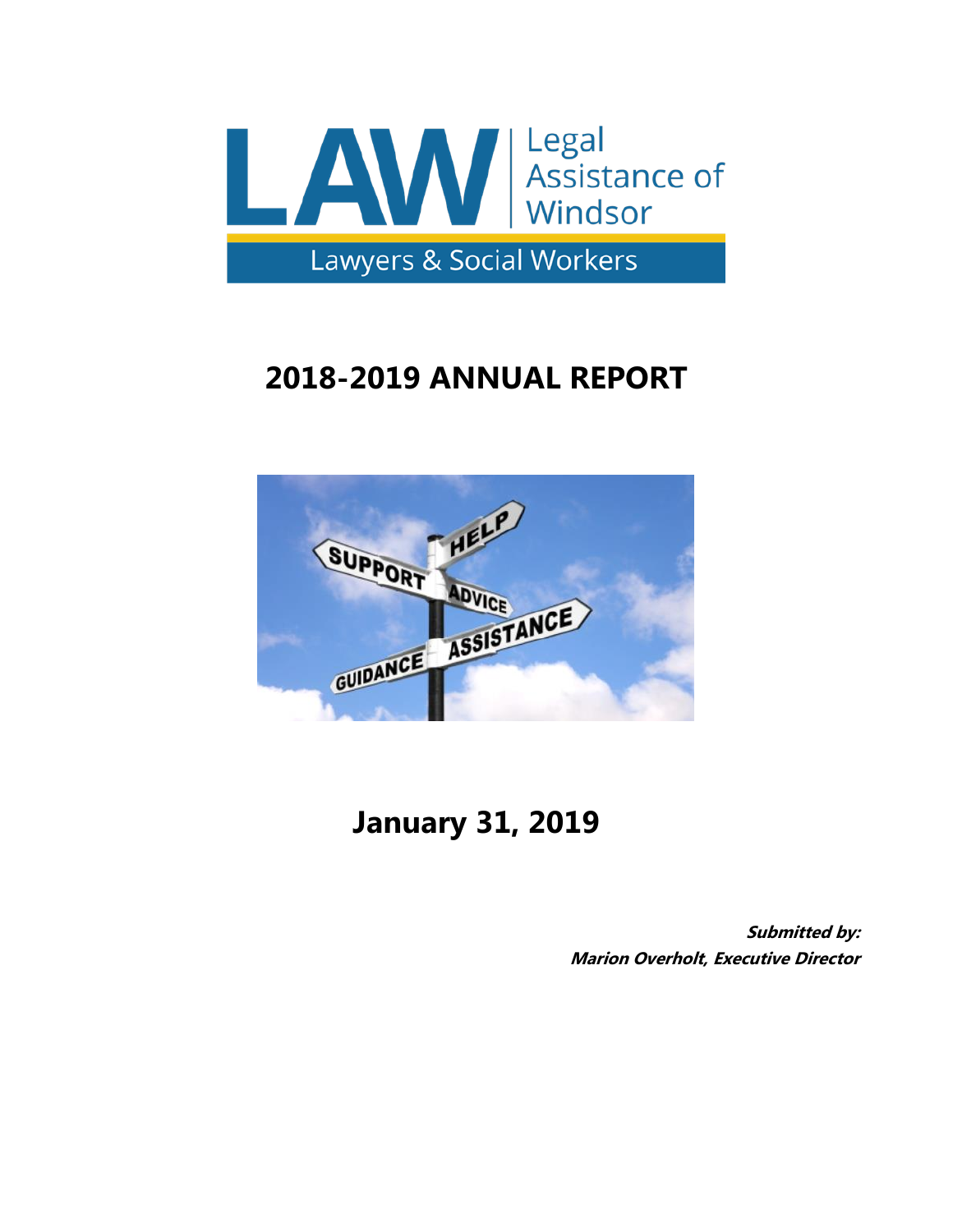

# **2018-2019 ANNUAL REPORT**



## **January 31, 2019**

**Submitted by: Marion Overholt, Executive Director**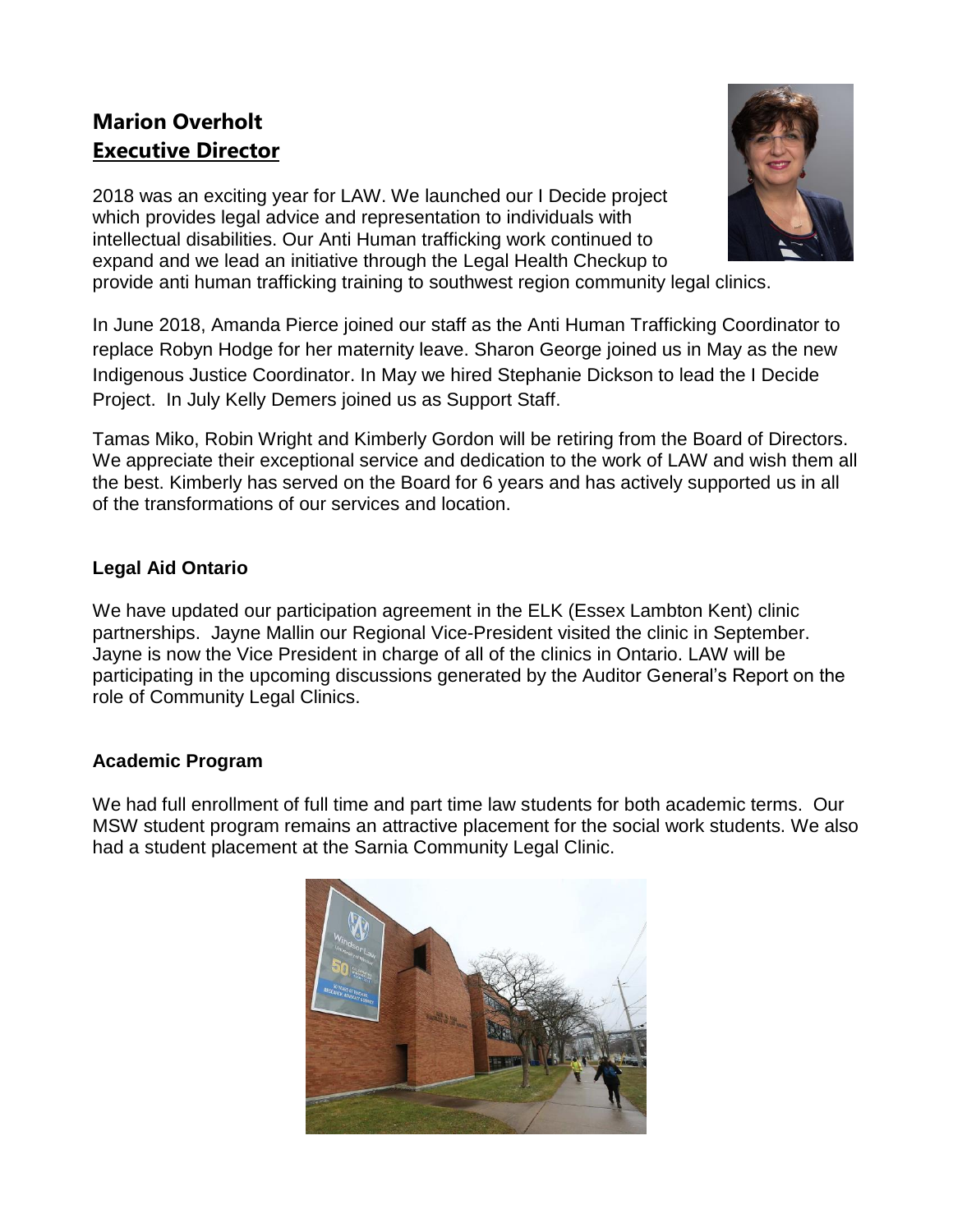## **Marion Overholt Executive Director**

2018 was an exciting year for LAW. We launched our I Decide project which provides legal advice and representation to individuals with intellectual disabilities. Our Anti Human trafficking work continued to expand and we lead an initiative through the Legal Health Checkup to provide anti human trafficking training to southwest region community legal clinics.



In June 2018, Amanda Pierce joined our staff as the Anti Human Trafficking Coordinator to replace Robyn Hodge for her maternity leave. Sharon George joined us in May as the new Indigenous Justice Coordinator. In May we hired Stephanie Dickson to lead the I Decide Project. In July Kelly Demers joined us as Support Staff.

Tamas Miko, Robin Wright and Kimberly Gordon will be retiring from the Board of Directors. We appreciate their exceptional service and dedication to the work of LAW and wish them all the best. Kimberly has served on the Board for 6 years and has actively supported us in all of the transformations of our services and location.

## **Legal Aid Ontario**

We have updated our participation agreement in the ELK (Essex Lambton Kent) clinic partnerships. Jayne Mallin our Regional Vice-President visited the clinic in September. Jayne is now the Vice President in charge of all of the clinics in Ontario. LAW will be participating in the upcoming discussions generated by the Auditor General's Report on the role of Community Legal Clinics.

## **Academic Program**

We had full enrollment of full time and part time law students for both academic terms. Our MSW student program remains an attractive placement for the social work students. We also had a student placement at the Sarnia Community Legal Clinic.

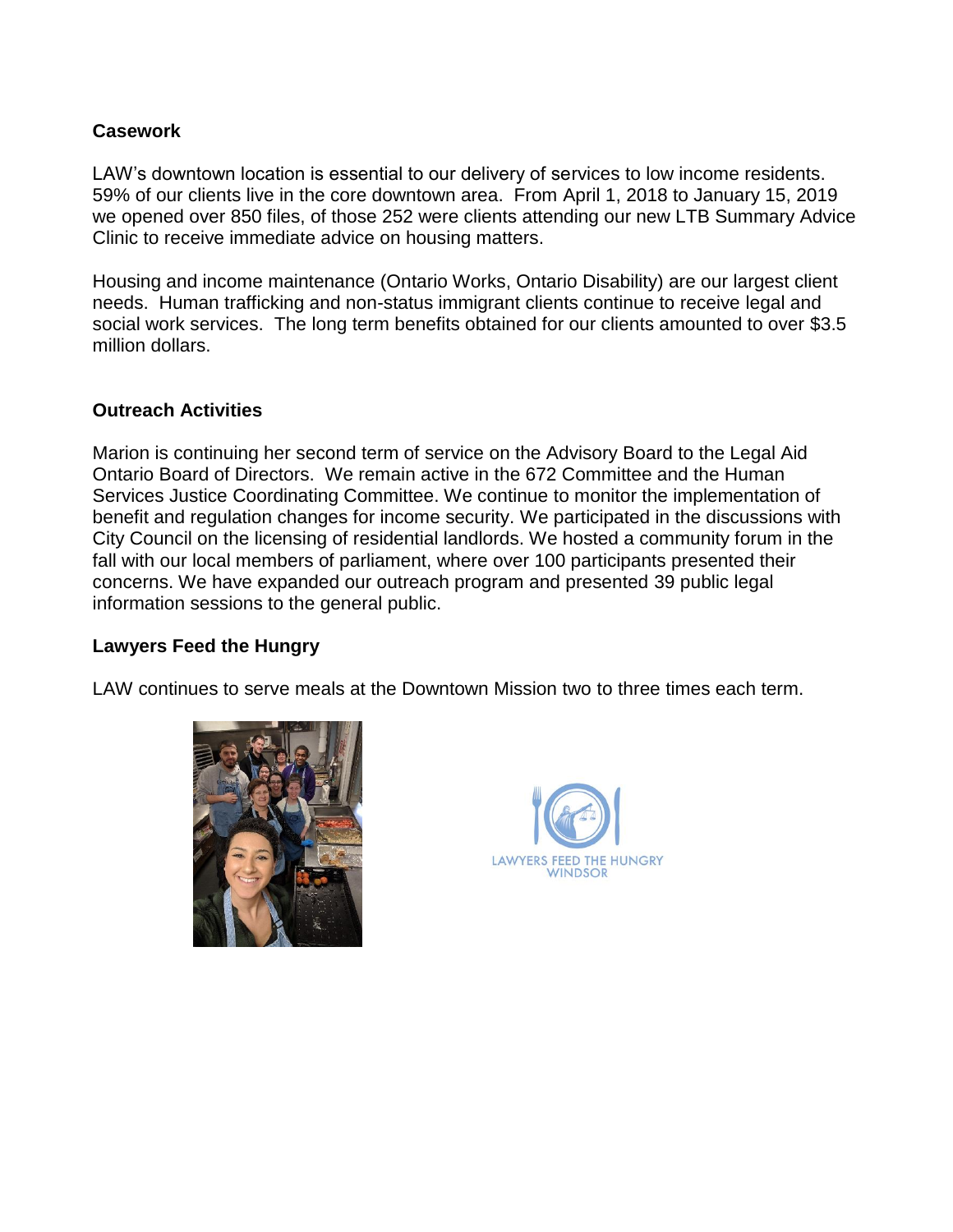#### **Casework**

LAW's downtown location is essential to our delivery of services to low income residents. 59% of our clients live in the core downtown area. From April 1, 2018 to January 15, 2019 we opened over 850 files, of those 252 were clients attending our new LTB Summary Advice Clinic to receive immediate advice on housing matters.

Housing and income maintenance (Ontario Works, Ontario Disability) are our largest client needs. Human trafficking and non-status immigrant clients continue to receive legal and social work services. The long term benefits obtained for our clients amounted to over \$3.5 million dollars.

#### **Outreach Activities**

Marion is continuing her second term of service on the Advisory Board to the Legal Aid Ontario Board of Directors. We remain active in the 672 Committee and the Human Services Justice Coordinating Committee. We continue to monitor the implementation of benefit and regulation changes for income security. We participated in the discussions with City Council on the licensing of residential landlords. We hosted a community forum in the fall with our local members of parliament, where over 100 participants presented their concerns. We have expanded our outreach program and presented 39 public legal information sessions to the general public.

#### **Lawyers Feed the Hungry**

LAW continues to serve meals at the Downtown Mission two to three times each term.



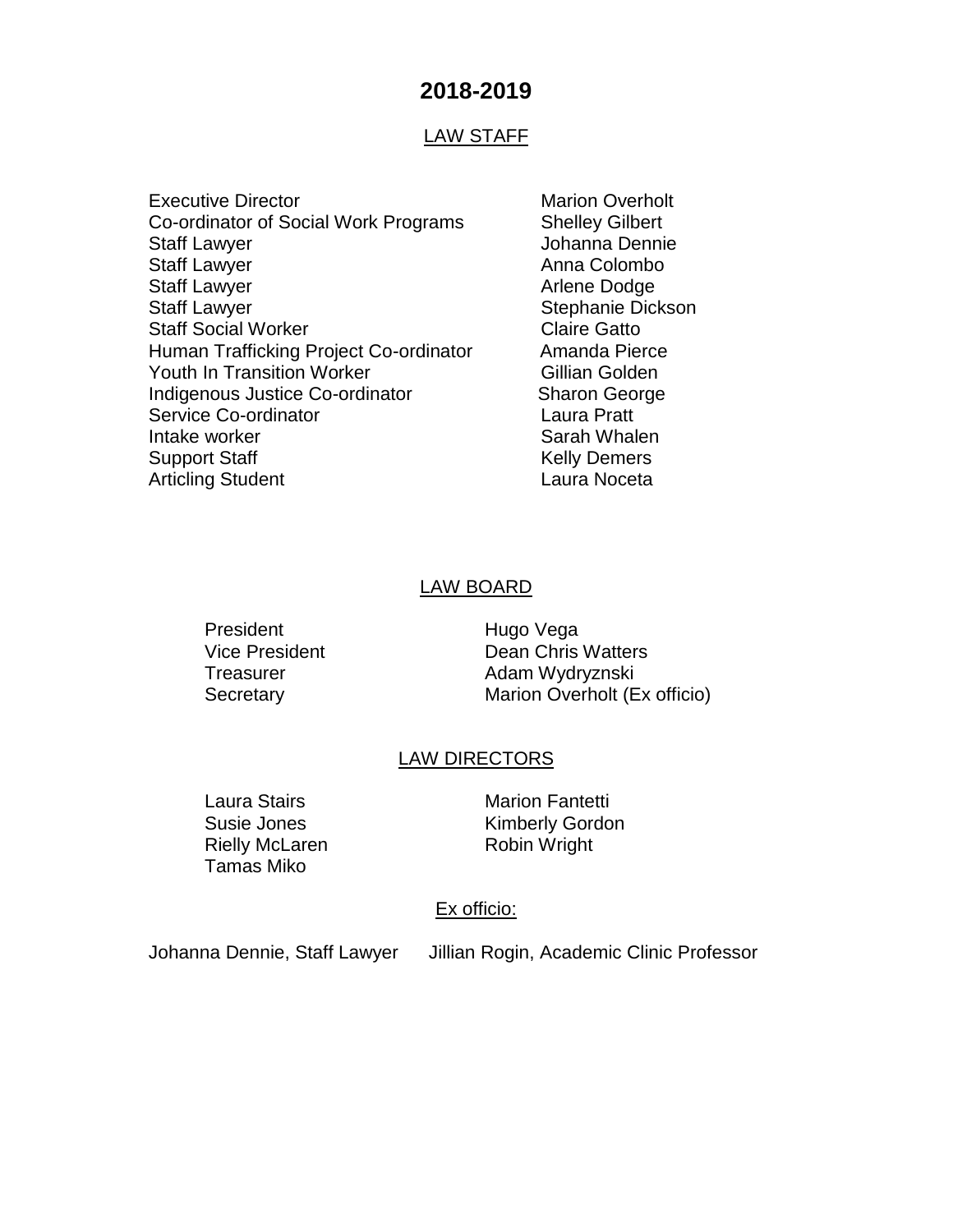## **2018-2019**

#### LAW STAFF

- Executive Director **Marion Overholt** Marion Overholt Co-ordinator of Social Work Programs Shelley Gilbert Staff Lawyer **Gramma** Dennie Staff Lawyer **Anna Colombo** Anna Colombo Staff Lawyer **Arlene Dodge Arlene Dodge** Staff Lawyer Stephanie Dickson Staff Social Worker Claire Gatto Human Trafficking Project Co-ordinator Amanda Pierce Youth In Transition Worker **Gillian Golden** Indigenous Justice Co-ordinator Sharon George Service Co-ordinator **Laura Pratt** Intake worker **Sarah Whalen** Sarah Whalen Support Staff Kelly Demers Articling Student **Laura Noceta** 
	-

#### LAW BOARD

President Hugo Vega

Vice President **Dean Chris Watters** Treasurer **Adam Wydryznski** Secretary Marion Overholt (Ex officio)

#### LAW DIRECTORS

Rielly McLaren Robin Wright Tamas Miko

Laura Stairs **Marion Fantetti** Susie Jones **Kimberly Gordon** 

#### Ex officio:

Johanna Dennie, Staff Lawyer Jillian Rogin, Academic Clinic Professor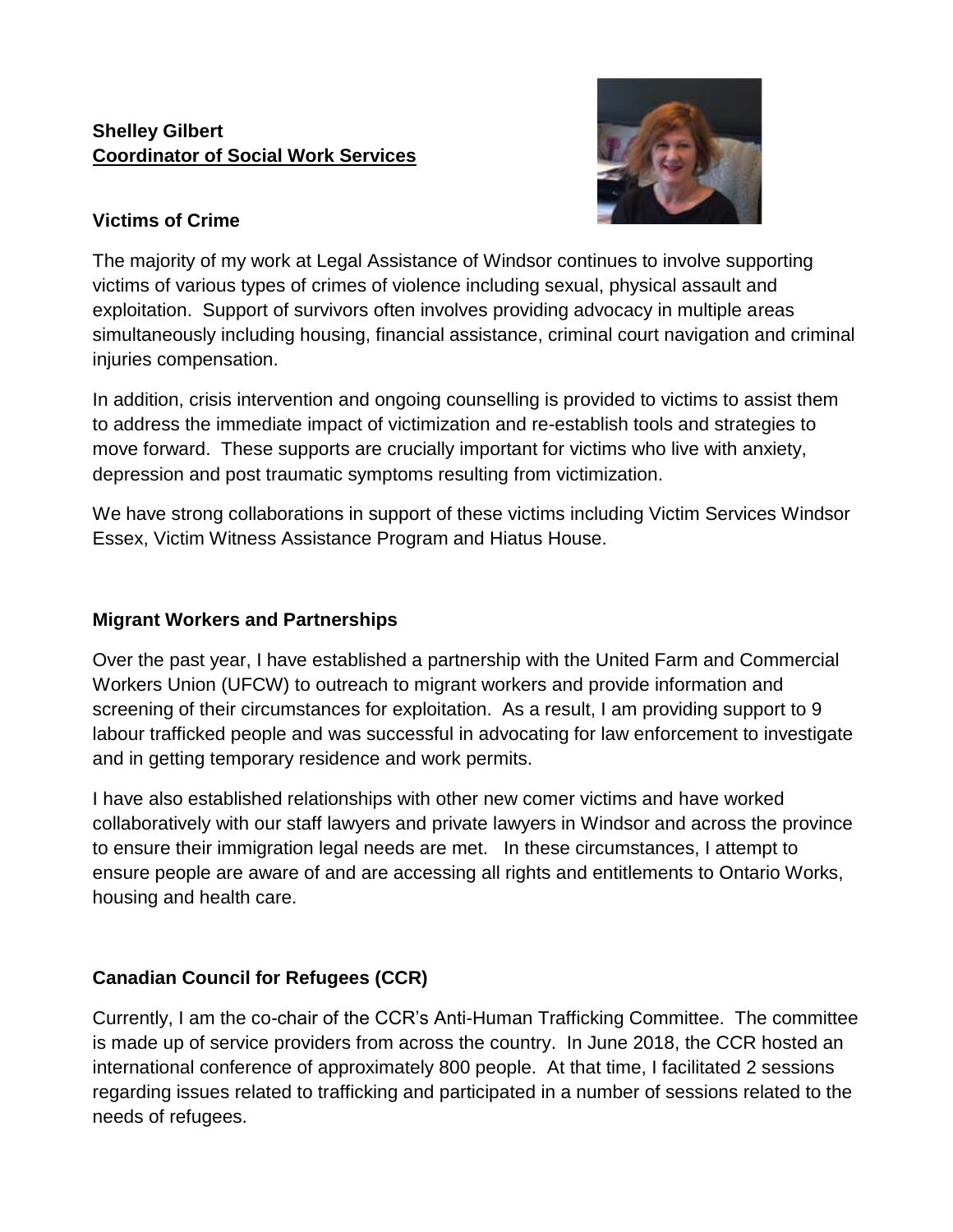## **Shelley Gilbert Coordinator of Social Work Services**



## **Victims of Crime**

The majority of my work at Legal Assistance of Windsor continues to involve supporting victims of various types of crimes of violence including sexual, physical assault and exploitation. Support of survivors often involves providing advocacy in multiple areas simultaneously including housing, financial assistance, criminal court navigation and criminal injuries compensation.

In addition, crisis intervention and ongoing counselling is provided to victims to assist them to address the immediate impact of victimization and re-establish tools and strategies to move forward. These supports are crucially important for victims who live with anxiety, depression and post traumatic symptoms resulting from victimization.

We have strong collaborations in support of these victims including Victim Services Windsor Essex, Victim Witness Assistance Program and Hiatus House.

## **Migrant Workers and Partnerships**

Over the past year, I have established a partnership with the United Farm and Commercial Workers Union (UFCW) to outreach to migrant workers and provide information and screening of their circumstances for exploitation. As a result, I am providing support to 9 labour trafficked people and was successful in advocating for law enforcement to investigate and in getting temporary residence and work permits.

I have also established relationships with other new comer victims and have worked collaboratively with our staff lawyers and private lawyers in Windsor and across the province to ensure their immigration legal needs are met. In these circumstances, I attempt to ensure people are aware of and are accessing all rights and entitlements to Ontario Works, housing and health care.

## **Canadian Council for Refugees (CCR)**

Currently, I am the co-chair of the CCR's Anti-Human Trafficking Committee. The committee is made up of service providers from across the country. In June 2018, the CCR hosted an international conference of approximately 800 people. At that time, I facilitated 2 sessions regarding issues related to trafficking and participated in a number of sessions related to the needs of refugees.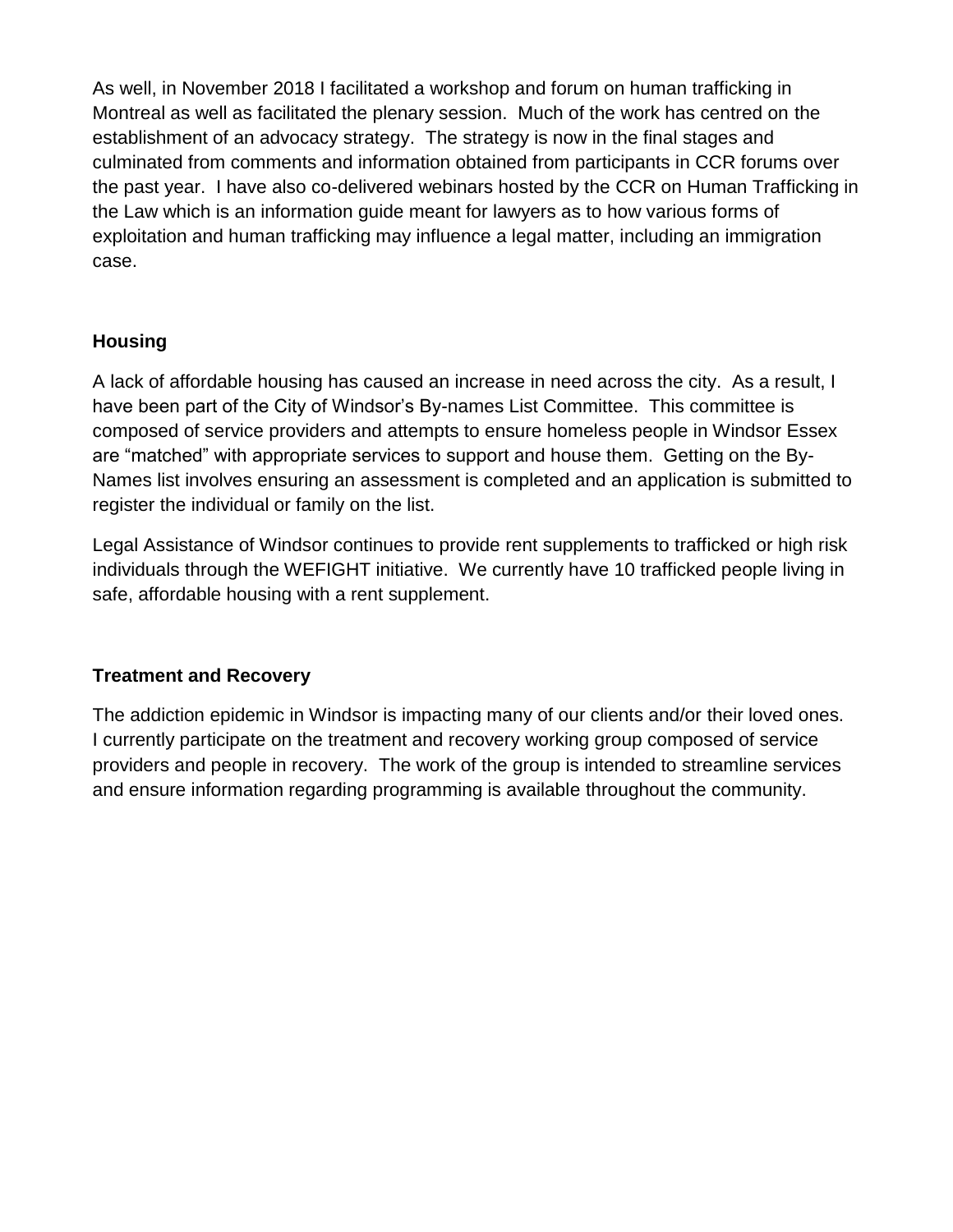As well, in November 2018 I facilitated a workshop and forum on human trafficking in Montreal as well as facilitated the plenary session. Much of the work has centred on the establishment of an advocacy strategy. The strategy is now in the final stages and culminated from comments and information obtained from participants in CCR forums over the past year. I have also co-delivered webinars hosted by the CCR on Human Trafficking in the Law which is an information guide meant for lawyers as to how various forms of exploitation and human trafficking may influence a legal matter, including an immigration case.

## **Housing**

A lack of affordable housing has caused an increase in need across the city. As a result, I have been part of the City of Windsor's By-names List Committee. This committee is composed of service providers and attempts to ensure homeless people in Windsor Essex are "matched" with appropriate services to support and house them. Getting on the By-Names list involves ensuring an assessment is completed and an application is submitted to register the individual or family on the list.

Legal Assistance of Windsor continues to provide rent supplements to trafficked or high risk individuals through the WEFIGHT initiative. We currently have 10 trafficked people living in safe, affordable housing with a rent supplement.

## **Treatment and Recovery**

The addiction epidemic in Windsor is impacting many of our clients and/or their loved ones. I currently participate on the treatment and recovery working group composed of service providers and people in recovery. The work of the group is intended to streamline services and ensure information regarding programming is available throughout the community.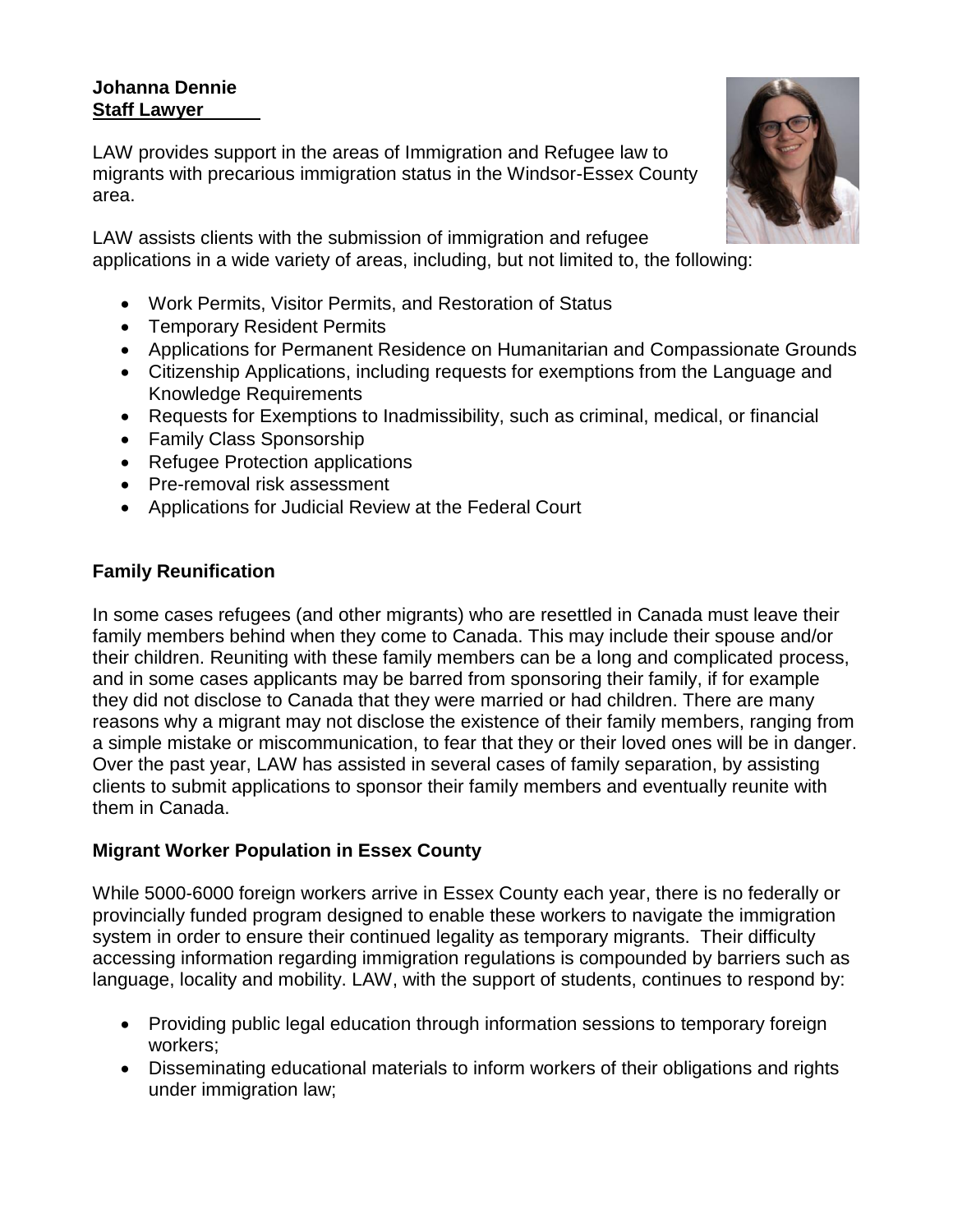## **Johanna Dennie Staff Lawyer**

LAW provides support in the areas of Immigration and Refugee law to migrants with precarious immigration status in the Windsor-Essex County area.

LAW assists clients with the submission of immigration and refugee applications in a wide variety of areas, including, but not limited to, the following:

- Work Permits, Visitor Permits, and Restoration of Status
- Temporary Resident Permits
- Applications for Permanent Residence on Humanitarian and Compassionate Grounds
- Citizenship Applications, including requests for exemptions from the Language and Knowledge Requirements
- Requests for Exemptions to Inadmissibility, such as criminal, medical, or financial
- Family Class Sponsorship
- Refugee Protection applications
- Pre-removal risk assessment
- Applications for Judicial Review at the Federal Court

## **Family Reunification**

In some cases refugees (and other migrants) who are resettled in Canada must leave their family members behind when they come to Canada. This may include their spouse and/or their children. Reuniting with these family members can be a long and complicated process, and in some cases applicants may be barred from sponsoring their family, if for example they did not disclose to Canada that they were married or had children. There are many reasons why a migrant may not disclose the existence of their family members, ranging from a simple mistake or miscommunication, to fear that they or their loved ones will be in danger. Over the past year, LAW has assisted in several cases of family separation, by assisting clients to submit applications to sponsor their family members and eventually reunite with them in Canada.

## **Migrant Worker Population in Essex County**

While 5000-6000 foreign workers arrive in Essex County each year, there is no federally or provincially funded program designed to enable these workers to navigate the immigration system in order to ensure their continued legality as temporary migrants. Their difficulty accessing information regarding immigration regulations is compounded by barriers such as language, locality and mobility. LAW, with the support of students, continues to respond by:

- Providing public legal education through information sessions to temporary foreign workers;
- Disseminating educational materials to inform workers of their obligations and rights under immigration law;

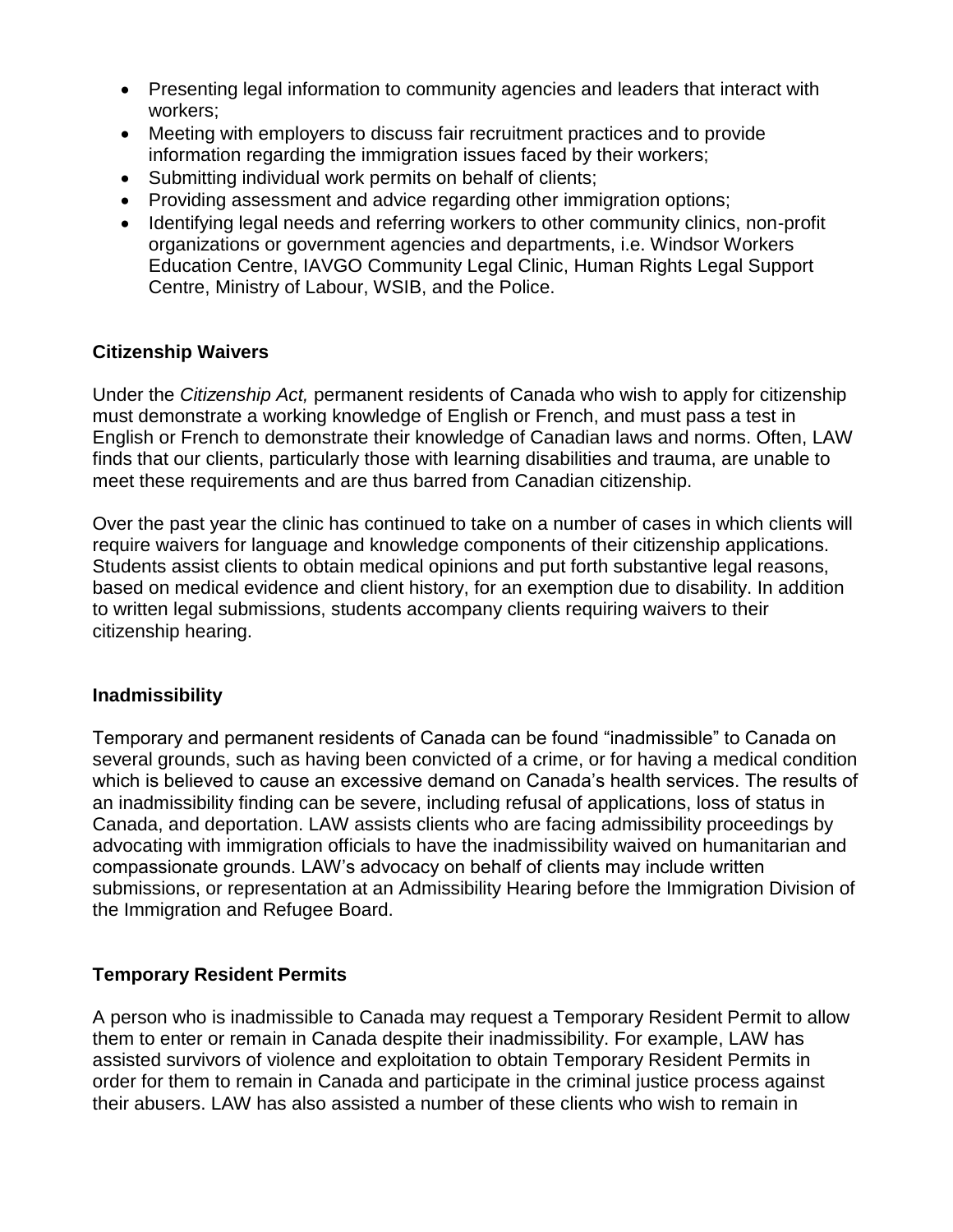- Presenting legal information to community agencies and leaders that interact with workers;
- Meeting with employers to discuss fair recruitment practices and to provide information regarding the immigration issues faced by their workers;
- Submitting individual work permits on behalf of clients;
- Providing assessment and advice regarding other immigration options;
- Identifying legal needs and referring workers to other community clinics, non-profit organizations or government agencies and departments, i.e. Windsor Workers Education Centre, IAVGO Community Legal Clinic, Human Rights Legal Support Centre, Ministry of Labour, WSIB, and the Police.

#### **Citizenship Waivers**

Under the *Citizenship Act,* permanent residents of Canada who wish to apply for citizenship must demonstrate a working knowledge of English or French, and must pass a test in English or French to demonstrate their knowledge of Canadian laws and norms. Often, LAW finds that our clients, particularly those with learning disabilities and trauma, are unable to meet these requirements and are thus barred from Canadian citizenship.

Over the past year the clinic has continued to take on a number of cases in which clients will require waivers for language and knowledge components of their citizenship applications. Students assist clients to obtain medical opinions and put forth substantive legal reasons, based on medical evidence and client history, for an exemption due to disability. In addition to written legal submissions, students accompany clients requiring waivers to their citizenship hearing.

#### **Inadmissibility**

Temporary and permanent residents of Canada can be found "inadmissible" to Canada on several grounds, such as having been convicted of a crime, or for having a medical condition which is believed to cause an excessive demand on Canada's health services. The results of an inadmissibility finding can be severe, including refusal of applications, loss of status in Canada, and deportation. LAW assists clients who are facing admissibility proceedings by advocating with immigration officials to have the inadmissibility waived on humanitarian and compassionate grounds. LAW's advocacy on behalf of clients may include written submissions, or representation at an Admissibility Hearing before the Immigration Division of the Immigration and Refugee Board.

## **Temporary Resident Permits**

A person who is inadmissible to Canada may request a Temporary Resident Permit to allow them to enter or remain in Canada despite their inadmissibility. For example, LAW has assisted survivors of violence and exploitation to obtain Temporary Resident Permits in order for them to remain in Canada and participate in the criminal justice process against their abusers. LAW has also assisted a number of these clients who wish to remain in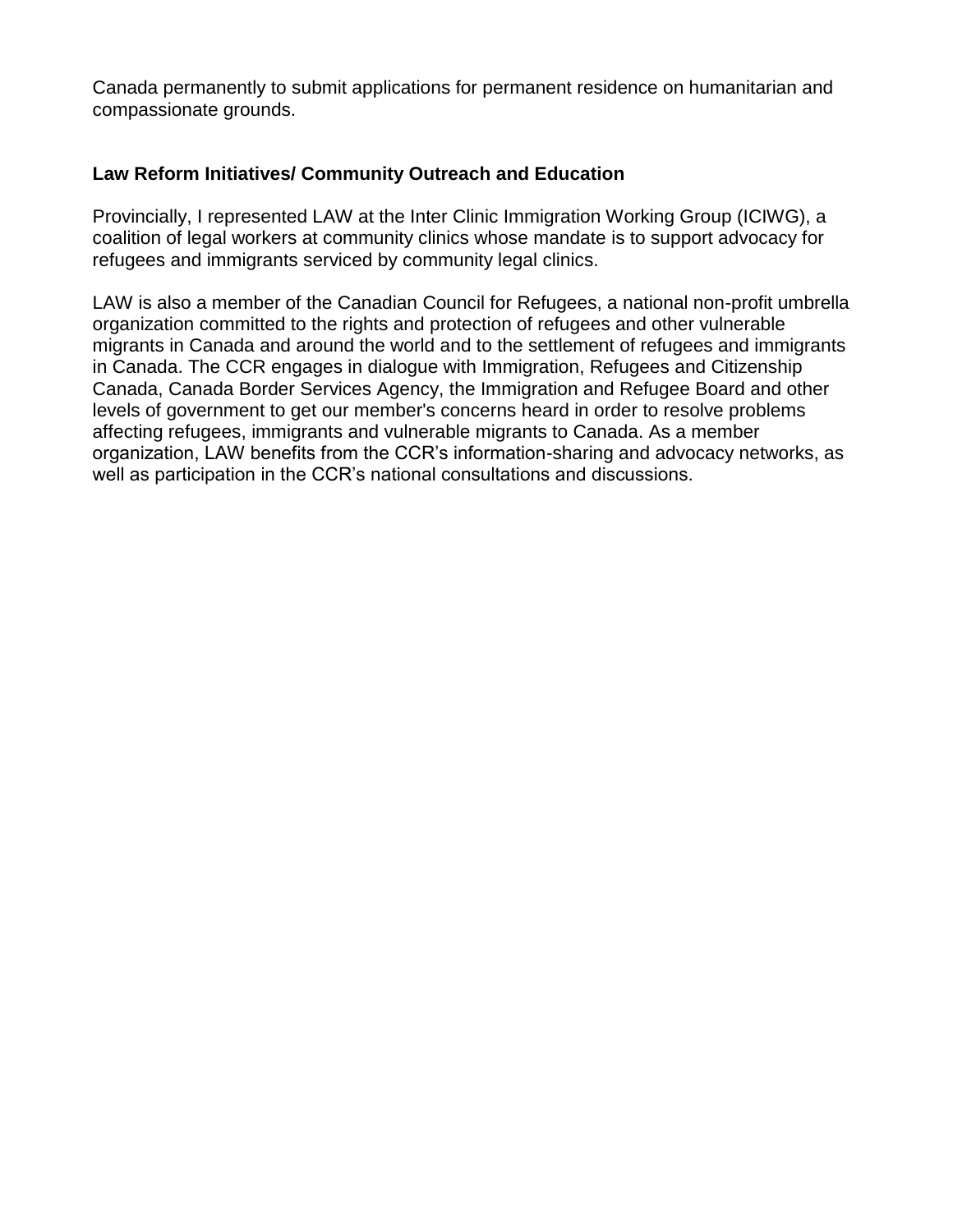Canada permanently to submit applications for permanent residence on humanitarian and compassionate grounds.

#### **Law Reform Initiatives/ Community Outreach and Education**

Provincially, I represented LAW at the Inter Clinic Immigration Working Group (ICIWG), a coalition of legal workers at community clinics whose mandate is to support advocacy for refugees and immigrants serviced by community legal clinics.

LAW is also a member of the Canadian Council for Refugees, a national non-profit umbrella organization committed to the rights and protection of refugees and other vulnerable migrants in Canada and around the world and to the settlement of refugees and immigrants in Canada. The CCR engages in dialogue with Immigration, Refugees and Citizenship Canada, Canada Border Services Agency, the Immigration and Refugee Board and other levels of government to get our member's concerns heard in order to resolve problems affecting refugees, immigrants and vulnerable migrants to Canada. As a member organization, LAW benefits from the CCR's information-sharing and advocacy networks, as well as participation in the CCR's national consultations and discussions.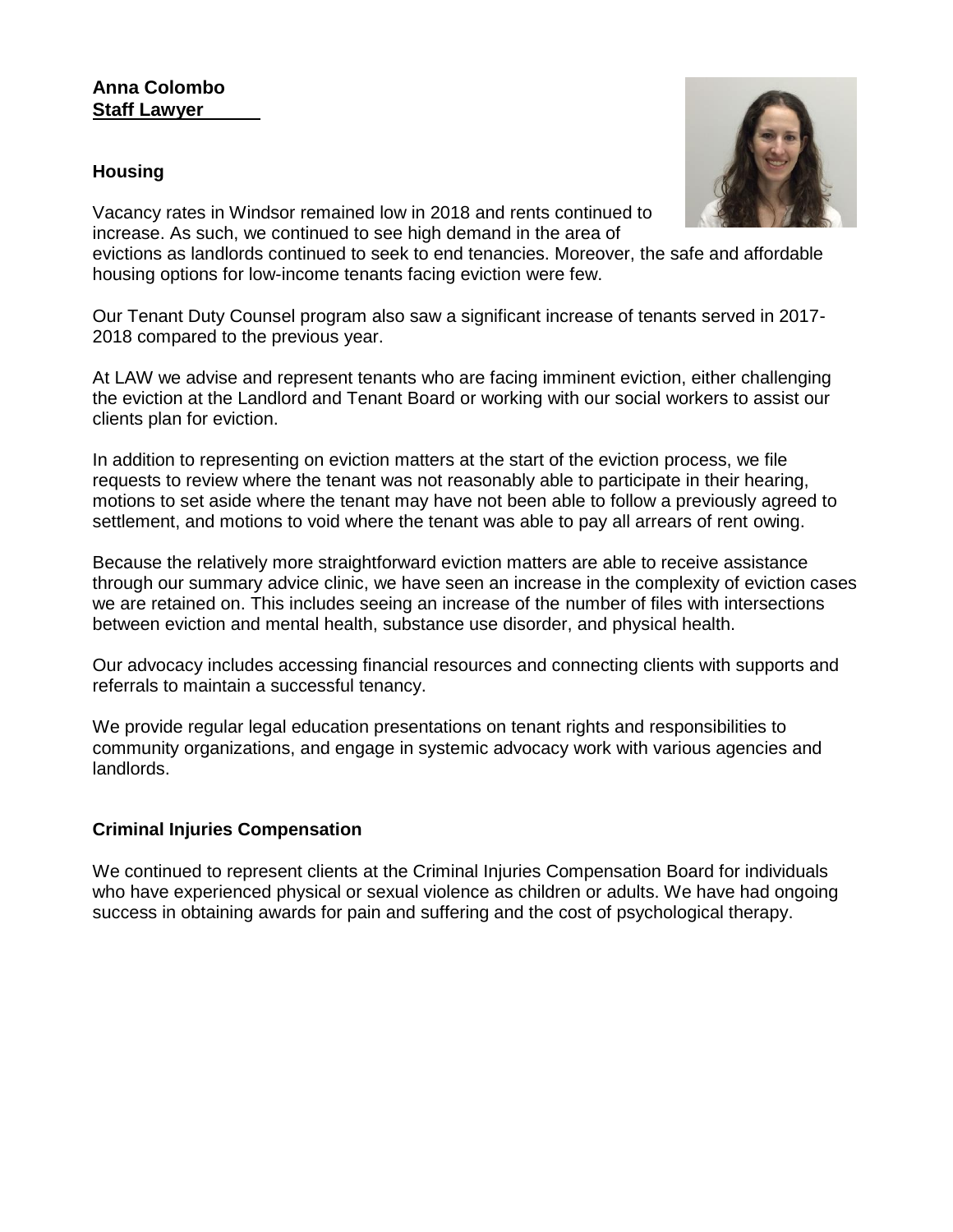#### **Anna Colombo Staff Lawyer**

#### **Housing**



Vacancy rates in Windsor remained low in 2018 and rents continued to increase. As such, we continued to see high demand in the area of

evictions as landlords continued to seek to end tenancies. Moreover, the safe and affordable housing options for low-income tenants facing eviction were few.

Our Tenant Duty Counsel program also saw a significant increase of tenants served in 2017- 2018 compared to the previous year.

At LAW we advise and represent tenants who are facing imminent eviction, either challenging the eviction at the Landlord and Tenant Board or working with our social workers to assist our clients plan for eviction.

In addition to representing on eviction matters at the start of the eviction process, we file requests to review where the tenant was not reasonably able to participate in their hearing, motions to set aside where the tenant may have not been able to follow a previously agreed to settlement, and motions to void where the tenant was able to pay all arrears of rent owing.

Because the relatively more straightforward eviction matters are able to receive assistance through our summary advice clinic, we have seen an increase in the complexity of eviction cases we are retained on. This includes seeing an increase of the number of files with intersections between eviction and mental health, substance use disorder, and physical health.

Our advocacy includes accessing financial resources and connecting clients with supports and referrals to maintain a successful tenancy.

We provide regular legal education presentations on tenant rights and responsibilities to community organizations, and engage in systemic advocacy work with various agencies and landlords.

#### **Criminal Injuries Compensation**

We continued to represent clients at the Criminal Injuries Compensation Board for individuals who have experienced physical or sexual violence as children or adults. We have had ongoing success in obtaining awards for pain and suffering and the cost of psychological therapy.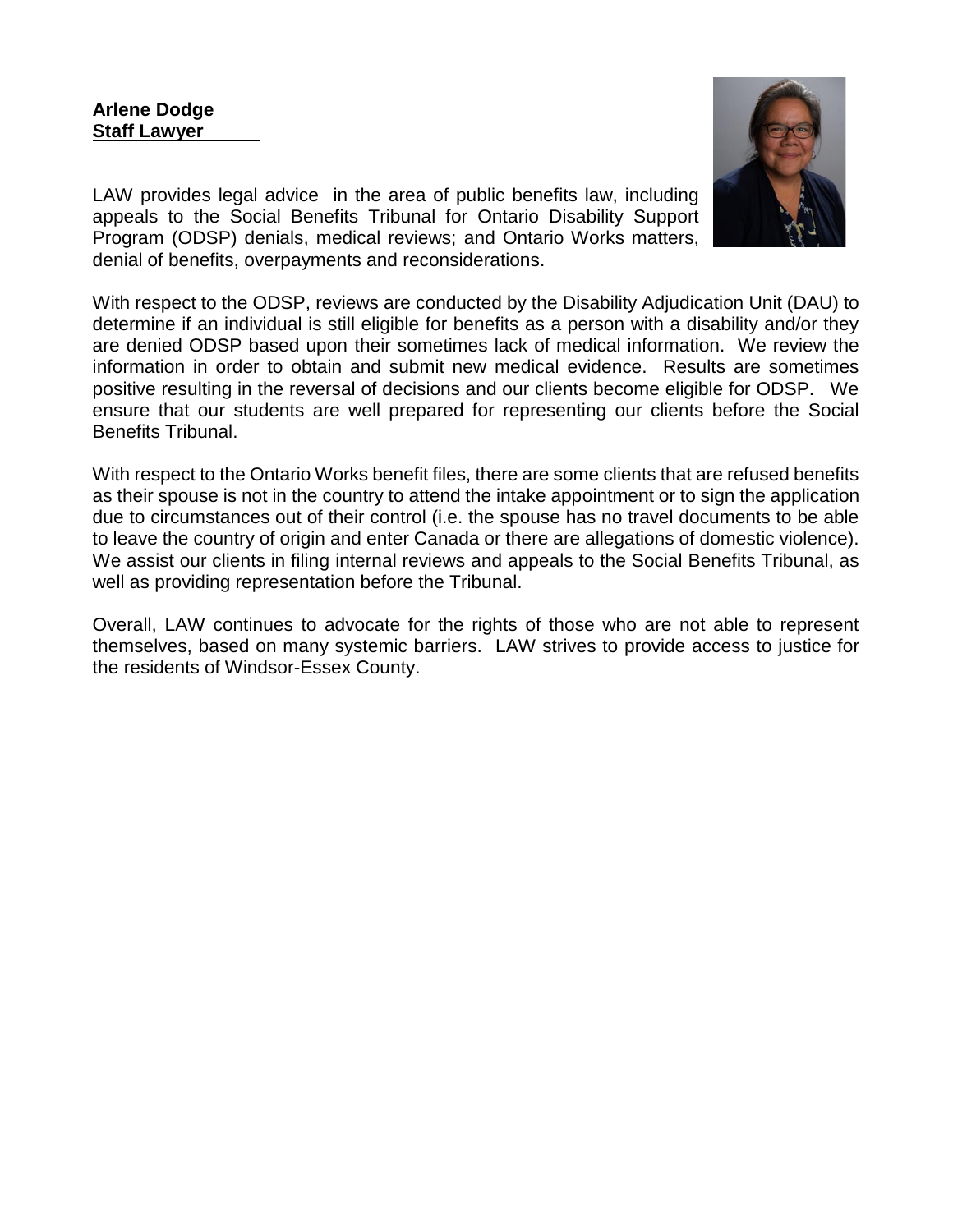#### **Arlene Dodge Staff Lawyer**



LAW provides legal advice in the area of public benefits law, including appeals to the Social Benefits Tribunal for Ontario Disability Support Program (ODSP) denials, medical reviews; and Ontario Works matters, denial of benefits, overpayments and reconsiderations.

With respect to the ODSP, reviews are conducted by the Disability Adjudication Unit (DAU) to determine if an individual is still eligible for benefits as a person with a disability and/or they are denied ODSP based upon their sometimes lack of medical information. We review the information in order to obtain and submit new medical evidence. Results are sometimes positive resulting in the reversal of decisions and our clients become eligible for ODSP. We ensure that our students are well prepared for representing our clients before the Social Benefits Tribunal.

With respect to the Ontario Works benefit files, there are some clients that are refused benefits as their spouse is not in the country to attend the intake appointment or to sign the application due to circumstances out of their control (i.e. the spouse has no travel documents to be able to leave the country of origin and enter Canada or there are allegations of domestic violence). We assist our clients in filing internal reviews and appeals to the Social Benefits Tribunal, as well as providing representation before the Tribunal.

Overall, LAW continues to advocate for the rights of those who are not able to represent themselves, based on many systemic barriers. LAW strives to provide access to justice for the residents of Windsor-Essex County.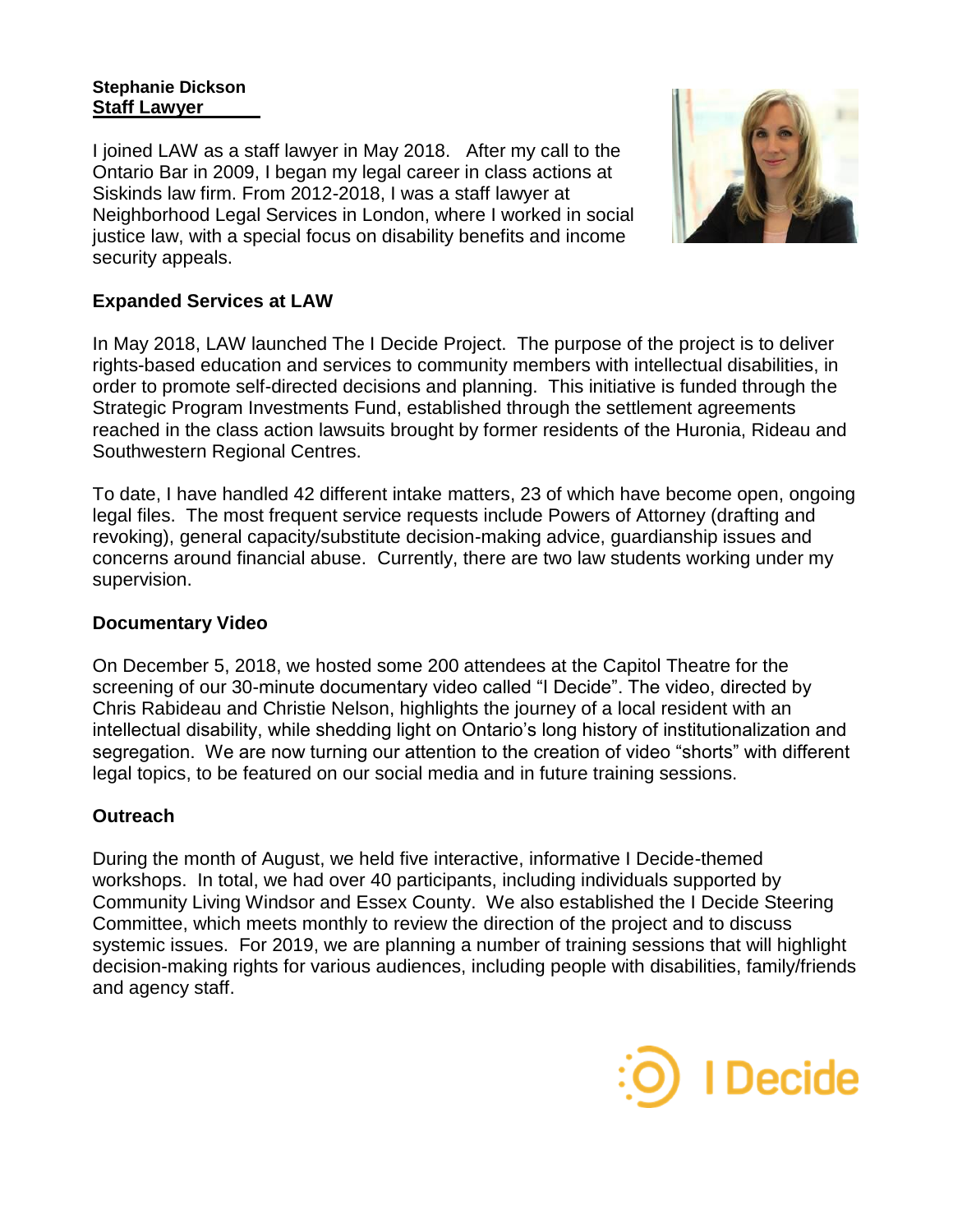#### **Stephanie Dickson Staff Lawyer**

I joined LAW as a staff lawyer in May 2018. After my call to the Ontario Bar in 2009, I began my legal career in class actions at Siskinds law firm. From 2012-2018, I was a staff lawyer at Neighborhood Legal Services in London, where I worked in social justice law, with a special focus on disability benefits and income security appeals.



## **Expanded Services at LAW**

In May 2018, LAW launched The I Decide Project. The purpose of the project is to deliver rights-based education and services to community members with intellectual disabilities, in order to promote self-directed decisions and planning. This initiative is funded through the Strategic Program Investments Fund, established through the settlement agreements reached in the class action lawsuits brought by former residents of the Huronia, Rideau and Southwestern Regional Centres.

To date, I have handled 42 different intake matters, 23 of which have become open, ongoing legal files. The most frequent service requests include Powers of Attorney (drafting and revoking), general capacity/substitute decision-making advice, guardianship issues and concerns around financial abuse. Currently, there are two law students working under my supervision.

## **Documentary Video**

On December 5, 2018, we hosted some 200 attendees at the Capitol Theatre for the screening of our 30-minute documentary video called "I Decide". The video, directed by Chris Rabideau and Christie Nelson, highlights the journey of a local resident with an intellectual disability, while shedding light on Ontario's long history of institutionalization and segregation. We are now turning our attention to the creation of video "shorts" with different legal topics, to be featured on our social media and in future training sessions.

#### **Outreach**

During the month of August, we held five interactive, informative I Decide-themed workshops. In total, we had over 40 participants, including individuals supported by Community Living Windsor and Essex County. We also established the I Decide Steering Committee, which meets monthly to review the direction of the project and to discuss systemic issues. For 2019, we are planning a number of training sessions that will highlight decision-making rights for various audiences, including people with disabilities, family/friends and agency staff.

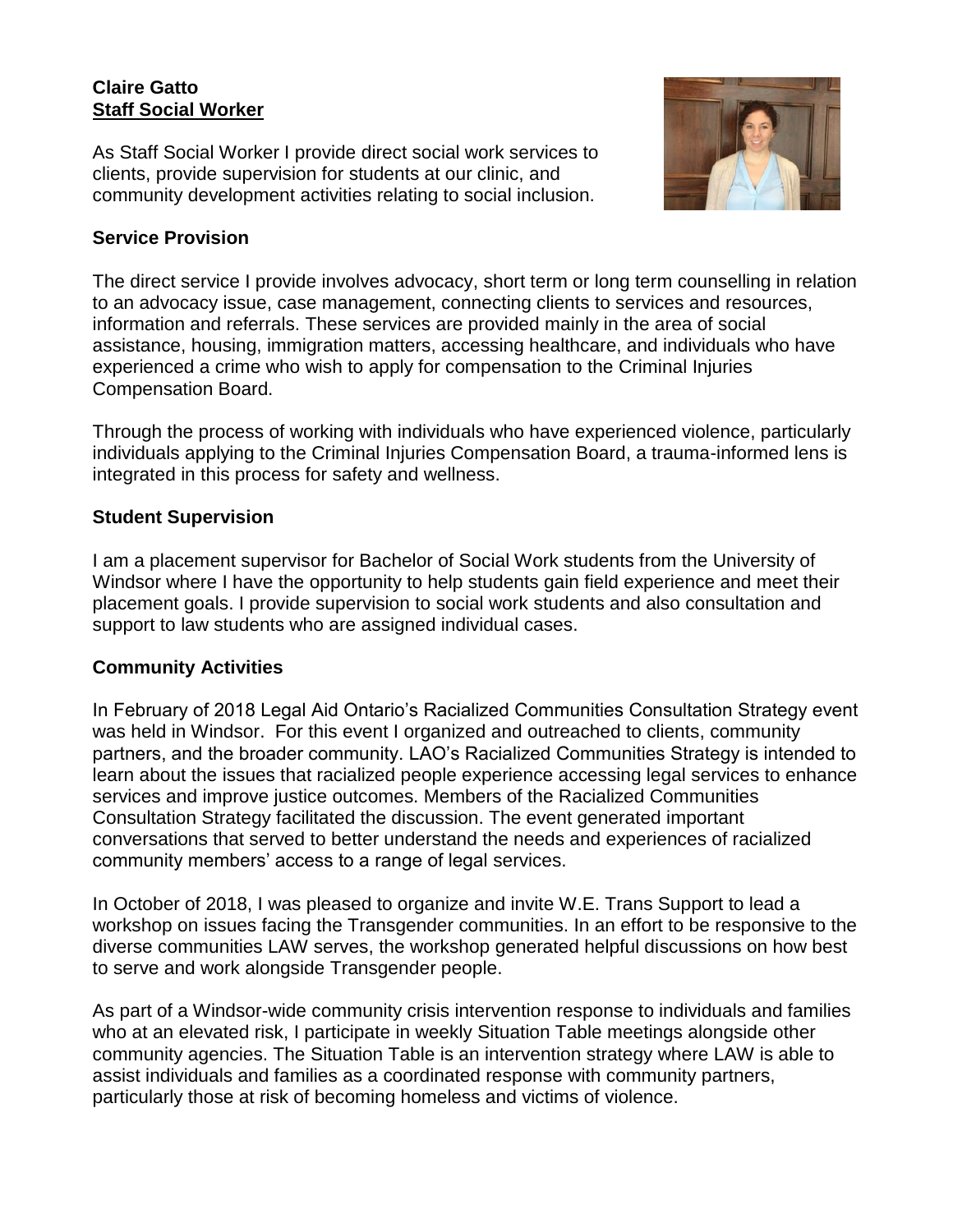#### **Claire Gatto Staff Social Worker**

As Staff Social Worker I provide direct social work services to clients, provide supervision for students at our clinic, and community development activities relating to social inclusion.



#### **Service Provision**

The direct service I provide involves advocacy, short term or long term counselling in relation to an advocacy issue, case management, connecting clients to services and resources, information and referrals. These services are provided mainly in the area of social assistance, housing, immigration matters, accessing healthcare, and individuals who have experienced a crime who wish to apply for compensation to the Criminal Injuries Compensation Board.

Through the process of working with individuals who have experienced violence, particularly individuals applying to the Criminal Injuries Compensation Board, a trauma-informed lens is integrated in this process for safety and wellness.

#### **Student Supervision**

I am a placement supervisor for Bachelor of Social Work students from the University of Windsor where I have the opportunity to help students gain field experience and meet their placement goals. I provide supervision to social work students and also consultation and support to law students who are assigned individual cases.

## **Community Activities**

In February of 2018 Legal Aid Ontario's Racialized Communities Consultation Strategy event was held in Windsor. For this event I organized and outreached to clients, community partners, and the broader community. LAO's Racialized Communities Strategy is intended to learn about the issues that racialized people experience accessing legal services to enhance services and improve justice outcomes. Members of the Racialized Communities Consultation Strategy facilitated the discussion. The event generated important conversations that served to better understand the needs and experiences of racialized community members' access to a range of legal services.

In October of 2018, I was pleased to organize and invite W.E. Trans Support to lead a workshop on issues facing the Transgender communities. In an effort to be responsive to the diverse communities LAW serves, the workshop generated helpful discussions on how best to serve and work alongside Transgender people.

As part of a Windsor-wide community crisis intervention response to individuals and families who at an elevated risk, I participate in weekly Situation Table meetings alongside other community agencies. The Situation Table is an intervention strategy where LAW is able to assist individuals and families as a coordinated response with community partners, particularly those at risk of becoming homeless and victims of violence.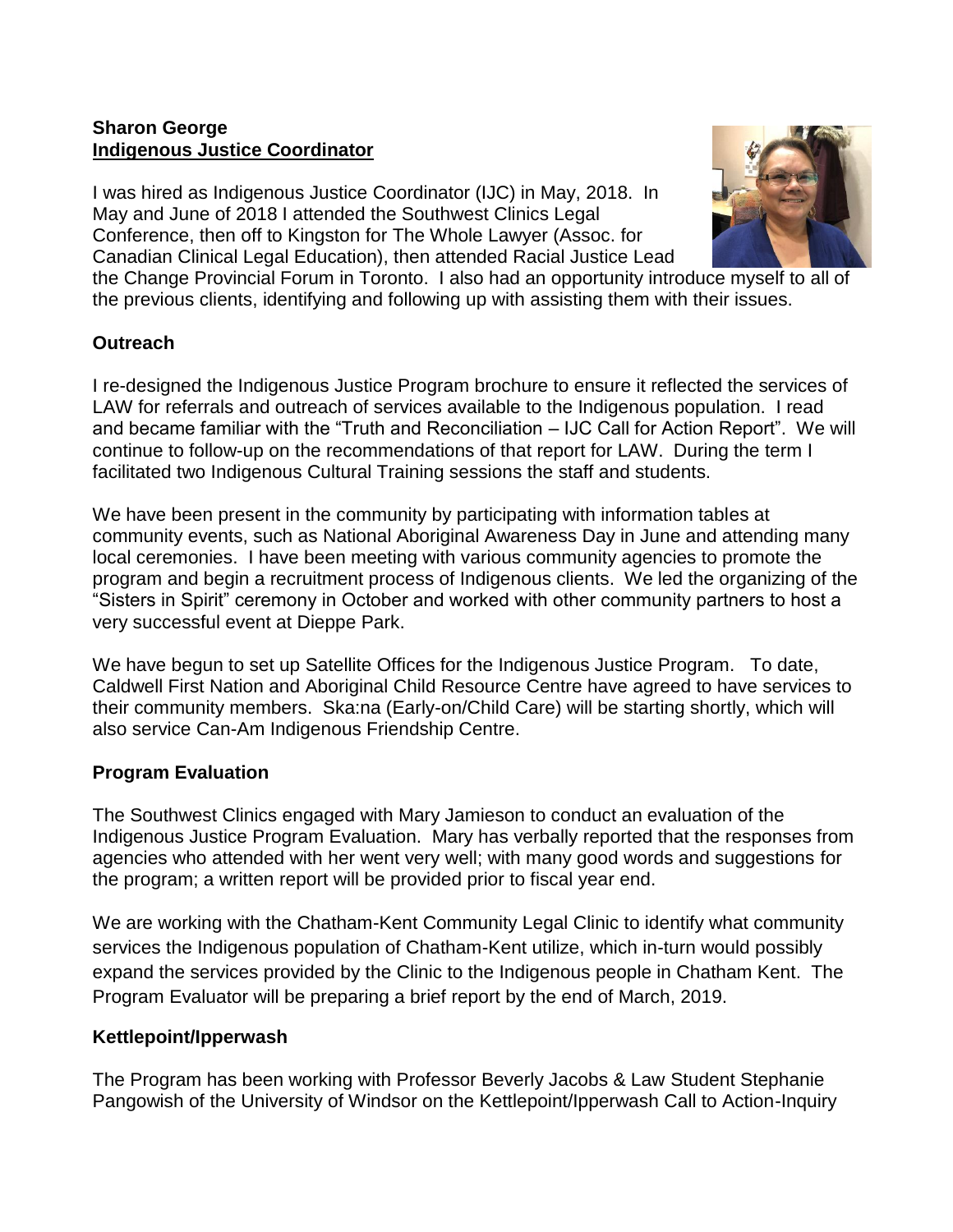## **Sharon George Indigenous Justice Coordinator**

I was hired as Indigenous Justice Coordinator (IJC) in May, 2018. In May and June of 2018 I attended the Southwest Clinics Legal Conference, then off to Kingston for The Whole Lawyer (Assoc. for Canadian Clinical Legal Education), then attended Racial Justice Lead



the Change Provincial Forum in Toronto. I also had an opportunity introduce myself to all of the previous clients, identifying and following up with assisting them with their issues.

#### **Outreach**

I re-designed the Indigenous Justice Program brochure to ensure it reflected the services of LAW for referrals and outreach of services available to the Indigenous population. I read and became familiar with the "Truth and Reconciliation – IJC Call for Action Report". We will continue to follow-up on the recommendations of that report for LAW. During the term I facilitated two Indigenous Cultural Training sessions the staff and students.

We have been present in the community by participating with information tables at community events, such as National Aboriginal Awareness Day in June and attending many local ceremonies. I have been meeting with various community agencies to promote the program and begin a recruitment process of Indigenous clients. We led the organizing of the "Sisters in Spirit" ceremony in October and worked with other community partners to host a very successful event at Dieppe Park.

We have begun to set up Satellite Offices for the Indigenous Justice Program. To date, Caldwell First Nation and Aboriginal Child Resource Centre have agreed to have services to their community members. Ska:na (Early-on/Child Care) will be starting shortly, which will also service Can-Am Indigenous Friendship Centre.

#### **Program Evaluation**

The Southwest Clinics engaged with Mary Jamieson to conduct an evaluation of the Indigenous Justice Program Evaluation. Mary has verbally reported that the responses from agencies who attended with her went very well; with many good words and suggestions for the program; a written report will be provided prior to fiscal year end.

We are working with the Chatham-Kent Community Legal Clinic to identify what community services the Indigenous population of Chatham-Kent utilize, which in-turn would possibly expand the services provided by the Clinic to the Indigenous people in Chatham Kent. The Program Evaluator will be preparing a brief report by the end of March, 2019.

#### **Kettlepoint/Ipperwash**

The Program has been working with Professor Beverly Jacobs & Law Student Stephanie Pangowish of the University of Windsor on the Kettlepoint/Ipperwash Call to Action-Inquiry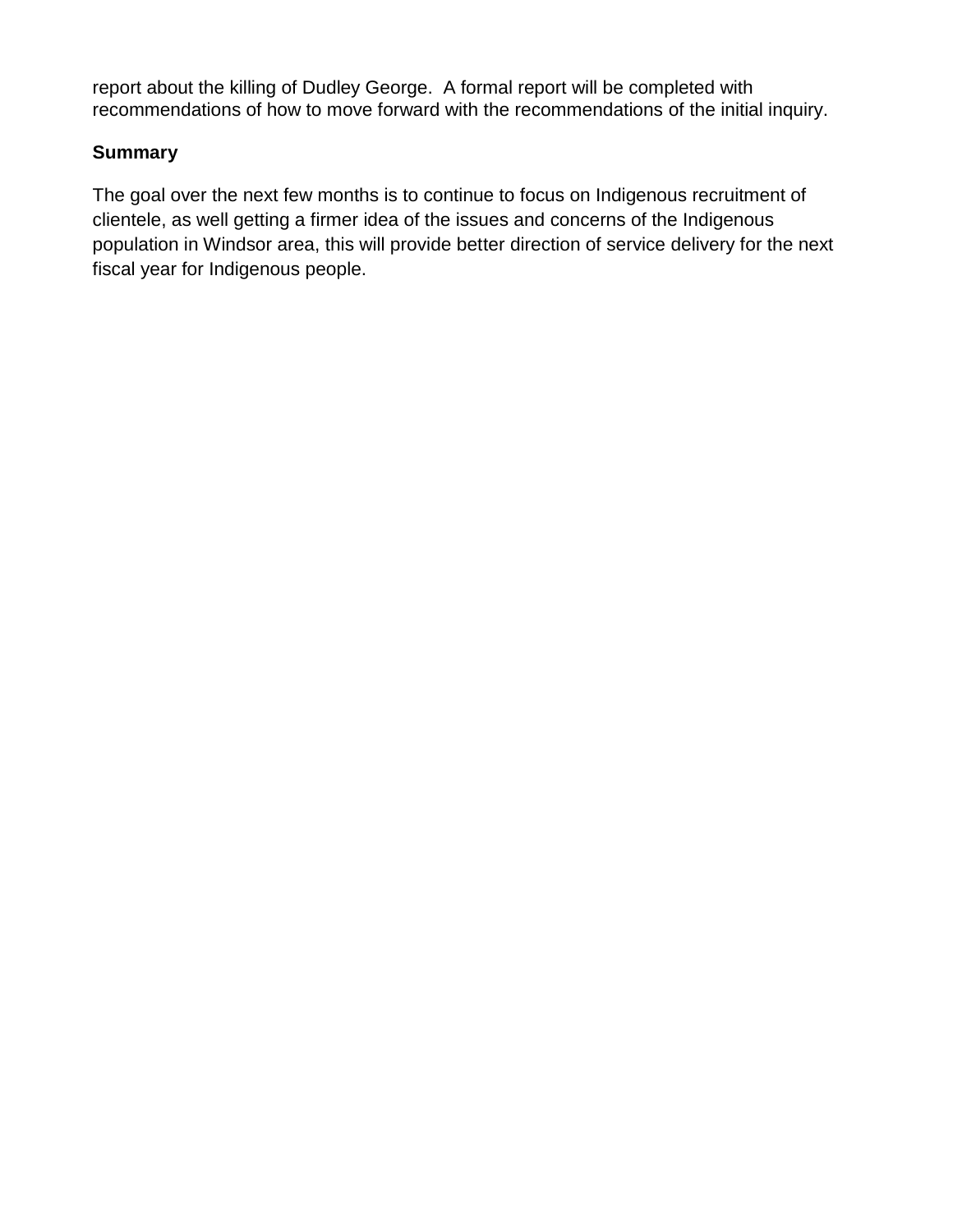report about the killing of Dudley George. A formal report will be completed with recommendations of how to move forward with the recommendations of the initial inquiry.

## **Summary**

The goal over the next few months is to continue to focus on Indigenous recruitment of clientele, as well getting a firmer idea of the issues and concerns of the Indigenous population in Windsor area, this will provide better direction of service delivery for the next fiscal year for Indigenous people.